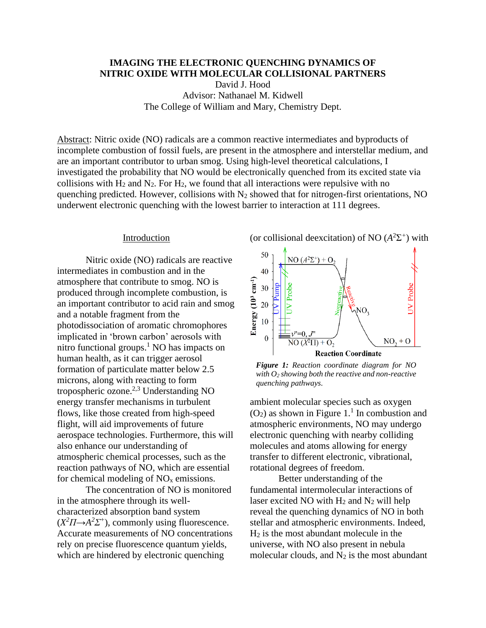# **IMAGING THE ELECTRONIC QUENCHING DYNAMICS OF NITRIC OXIDE WITH MOLECULAR COLLISIONAL PARTNERS**

David J. Hood Advisor: Nathanael M. Kidwell The College of William and Mary, Chemistry Dept.

Abstract: Nitric oxide (NO) radicals are a common reactive intermediates and byproducts of incomplete combustion of fossil fuels, are present in the atmosphere and interstellar medium, and are an important contributor to urban smog. Using high-level theoretical calculations, I investigated the probability that NO would be electronically quenched from its excited state via collisions with  $H_2$  and  $N_2$ . For  $H_2$ , we found that all interactions were repulsive with no quenching predicted. However, collisions with  $N_2$  showed that for nitrogen-first orientations, NO underwent electronic quenching with the lowest barrier to interaction at 111 degrees.

### Introduction

Nitric oxide (NO) radicals are reactive intermediates in combustion and in the atmosphere that contribute to smog. NO is produced through incomplete combustion, is an important contributor to acid rain and smog and a notable fragment from the photodissociation of aromatic chromophores implicated in 'brown carbon' aerosols with nitro functional groups. <sup>1</sup> NO has impacts on human health, as it can trigger aerosol formation of particulate matter below 2.5 microns, along with reacting to form tropospheric ozone. $^{2,3}$  Understanding NO energy transfer mechanisms in turbulent flows, like those created from high-speed flight, will aid improvements of future aerospace technologies. Furthermore, this will also enhance our understanding of atmospheric chemical processes, such as the reaction pathways of NO, which are essential for chemical modeling of  $NO<sub>x</sub>$  emissions.

The concentration of NO is monitored in the atmosphere through its wellcharacterized absorption band system  $(X^2 \Pi \rightarrow A^2 \Sigma^+)$ , commonly using fluorescence. Accurate measurements of NO concentrations rely on precise fluorescence quantum yields, which are hindered by electronic quenching





*Figure 1: Reaction coordinate diagram for NO with O<sup>2</sup> showing both the reactive and non-reactive quenching pathways.*

ambient molecular species such as oxygen  $(O_2)$  as shown in Figure 1.<sup>1</sup> In combustion and atmospheric environments, NO may undergo electronic quenching with nearby colliding molecules and atoms allowing for energy transfer to different electronic, vibrational, rotational degrees of freedom.

Better understanding of the fundamental intermolecular interactions of laser excited NO with  $H_2$  and  $N_2$  will help reveal the quenching dynamics of NO in both stellar and atmospheric environments. Indeed,  $H<sub>2</sub>$  is the most abundant molecule in the universe, with NO also present in nebula molecular clouds, and  $N_2$  is the most abundant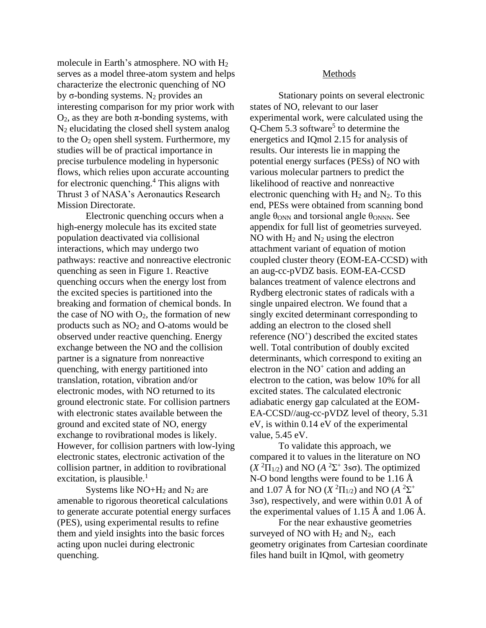molecule in Earth's atmosphere. NO with H<sup>2</sup> serves as a model three-atom system and helps characterize the electronic quenching of NO by σ-bonding systems. N<sub>2</sub> provides an interesting comparison for my prior work with  $O_2$ , as they are both  $\pi$ -bonding systems, with N<sup>2</sup> elucidating the closed shell system analog to the  $O_2$  open shell system. Furthermore, my studies will be of practical importance in precise turbulence modeling in hypersonic flows, which relies upon accurate accounting for electronic quenching. $4$  This aligns with Thrust 3 of NASA's Aeronautics Research Mission Directorate.

Electronic quenching occurs when a high-energy molecule has its excited state population deactivated via collisional interactions, which may undergo two pathways: reactive and nonreactive electronic quenching as seen in Figure 1. Reactive quenching occurs when the energy lost from the excited species is partitioned into the breaking and formation of chemical bonds. In the case of NO with  $O_2$ , the formation of new products such as  $NO<sub>2</sub>$  and O-atoms would be observed under reactive quenching. Energy exchange between the NO and the collision partner is a signature from nonreactive quenching, with energy partitioned into translation, rotation, vibration and/or electronic modes, with NO returned to its ground electronic state. For collision partners with electronic states available between the ground and excited state of NO, energy exchange to rovibrational modes is likely. However, for collision partners with low-lying electronic states, electronic activation of the collision partner, in addition to rovibrational excitation, is plausible. $<sup>1</sup>$ </sup>

Systems like  $NO+H_2$  and  $N_2$  are amenable to rigorous theoretical calculations to generate accurate potential energy surfaces (PES), using experimental results to refine them and yield insights into the basic forces acting upon nuclei during electronic quenching.

## Methods

Stationary points on several electronic states of NO, relevant to our laser experimental work, were calculated using the Q-Chem 5.3 software<sup>5</sup> to determine the energetics and IQmol 2.15 for analysis of results. Our interests lie in mapping the potential energy surfaces (PESs) of NO with various molecular partners to predict the likelihood of reactive and nonreactive electronic quenching with  $H_2$  and  $N_2$ . To this end, PESs were obtained from scanning bond angle  $\theta_{\text{ONN}}$  and torsional angle  $\theta_{\text{ONNN}}$ . See appendix for full list of geometries surveyed. NO with  $H_2$  and  $N_2$  using the electron attachment variant of equation of motion coupled cluster theory (EOM-EA-CCSD) with an aug-cc-pVDZ basis. EOM-EA-CCSD balances treatment of valence electrons and Rydberg electronic states of radicals with a single unpaired electron. We found that a singly excited determinant corresponding to adding an electron to the closed shell reference (NO<sup>+</sup>) described the excited states well. Total contribution of doubly excited determinants, which correspond to exiting an electron in the  $NO<sup>+</sup>$  cation and adding an electron to the cation, was below 10% for all excited states. The calculated electronic adiabatic energy gap calculated at the EOM-EA-CCSD//aug-cc-pVDZ level of theory, 5.31 eV, is within 0.14 eV of the experimental value, 5.45 eV.

To validate this approach, we compared it to values in the literature on NO (*X* <sup>2</sup>Π1/2) and NO (*A* 2Σ + 3sσ). The optimized N-O bond lengths were found to be 1.16  $\AA$ and 1.07 Å for NO (*X*  $^2\Pi_{1/2}$ ) and NO (*A*  $^2\Sigma^+$  $3s\sigma$ ), respectively, and were within 0.01 Å of the experimental values of 1.15 Å and 1.06 Å.

For the near exhaustive geometries surveyed of NO with  $H_2$  and  $N_2$ , each geometry originates from Cartesian coordinate files hand built in IQmol, with geometry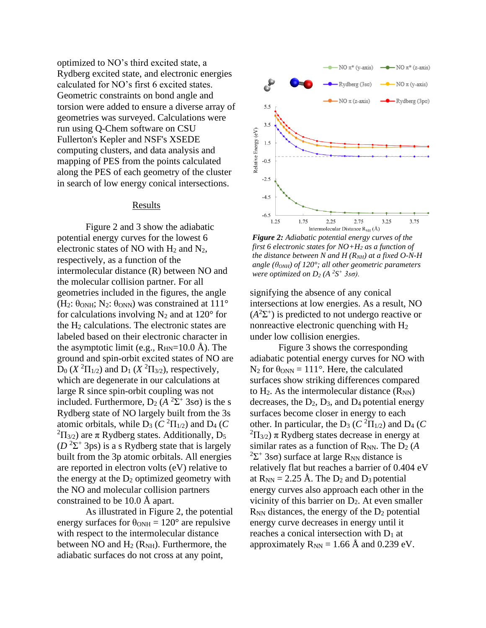optimized to NO's third excited state, a Rydberg excited state, and electronic energies calculated for NO's first 6 excited states. Geometric constraints on bond angle and torsion were added to ensure a diverse array of geometries was surveyed. Calculations were run using Q-Chem software on CSU Fullerton's Kepler and NSF's XSEDE computing clusters, and data analysis and mapping of PES from the points calculated along the PES of each geometry of the cluster in search of low energy conical intersections.

### Results

Figure 2 and 3 show the adiabatic potential energy curves for the lowest 6 electronic states of NO with  $H_2$  and  $N_2$ , respectively, as a function of the intermolecular distance (R) between NO and the molecular collision partner. For all geometries included in the figures, the angle (H<sub>2</sub>:  $\theta_{ONH}$ ; N<sub>2</sub>:  $\theta_{ONN}$ ) was constrained at 111<sup>°</sup> for calculations involving  $N_2$  and at 120 $\degree$  for the  $H_2$  calculations. The electronic states are labeled based on their electronic character in the asymptotic limit (e.g.,  $R_{HN}=10.0$  Å). The ground and spin-orbit excited states of NO are  $D_0$  (*X*<sup>2</sup> $\Pi_{1/2}$ ) and  $D_1$  (*X*<sup>2</sup> $\Pi_{3/2}$ ), respectively, which are degenerate in our calculations at large R since spin-orbit coupling was not included. Furthermore,  $D_2$  ( $A^2\Sigma^+$  3sσ) is the s Rydberg state of NO largely built from the 3s atomic orbitals, while  $D_3$  ( $C^2\Pi_{1/2}$ ) and  $D_4$  ( $C$ <sup>2</sup> $\Pi$ <sub>3/2</sub>) are π Rydberg states. Additionally, D<sub>5</sub>  $(D<sup>2</sup>Σ<sup>+</sup> 3ps)$  is a s Rydberg state that is largely built from the 3p atomic orbitals. All energies are reported in electron volts (eV) relative to the energy at the  $D_2$  optimized geometry with the NO and molecular collision partners constrained to be 10.0 Å apart.

As illustrated in Figure 2, the potential energy surfaces for  $\theta_{\text{ONH}} = 120^{\circ}$  are repulsive with respect to the intermolecular distance between NO and  $H_2$  ( $R_{NH}$ ). Furthermore, the adiabatic surfaces do not cross at any point,



*Figure 2: Adiabatic potential energy curves of the first 6 electronic states for NO+H<sup>2</sup> as a function of the distance between N and H (RNH) at a fixed O-N-H angle (θONH) of 120°; all other geometric parameters were optimized on D<sup>2</sup> (A <sup>2</sup>S <sup>+</sup> 3sσ).* 

signifying the absence of any conical intersections at low energies. As a result, NO  $(A<sup>2</sup>Σ<sup>+</sup>)$  is predicted to not undergo reactive or nonreactive electronic quenching with H<sup>2</sup> under low collision energies.

Figure 3 shows the corresponding adiabatic potential energy curves for NO with N<sub>2</sub> for  $\theta_{ONN} = 111^{\circ}$ . Here, the calculated surfaces show striking differences compared to  $H_2$ . As the intermolecular distance  $(R_{NN})$ decreases, the  $D_2$ ,  $D_3$ , and  $D_4$  potential energy surfaces become closer in energy to each other. In particular, the  $D_3$  ( $C^2\Pi_{1/2}$ ) and  $D_4$  ( $C$ <sup>2</sup> $\Pi_{3/2}$ ) π Rydberg states decrease in energy at similar rates as a function of  $R_{NN}$ . The  $D_2(A)$ <sup>2</sup>Σ<sup>+</sup> 3sσ) surface at large R<sub>NN</sub> distance is relatively flat but reaches a barrier of 0.404 eV at  $R_{NN} = 2.25$  Å. The  $D_2$  and  $D_3$  potential energy curves also approach each other in the vicinity of this barrier on  $D_2$ . At even smaller  $R_{NN}$  distances, the energy of the  $D_2$  potential energy curve decreases in energy until it reaches a conical intersection with  $D_1$  at approximately  $R_{NN} = 1.66 \text{ Å}$  and 0.239 eV.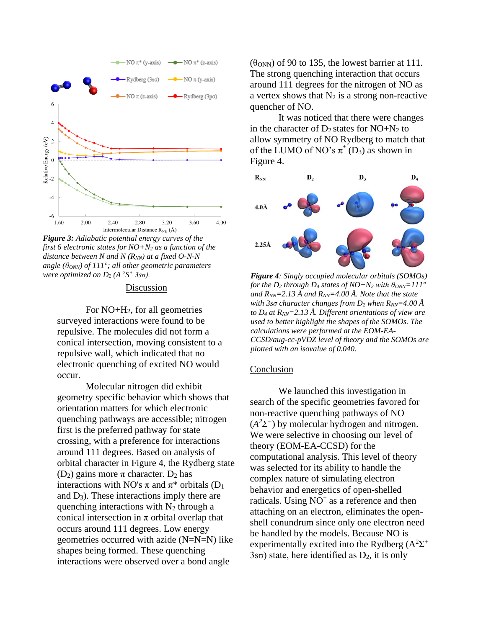

*Figure 3: Adiabatic potential energy curves of the first 6 electronic states for NO+N<sup>2</sup> as a function of the distance between N and N (R<sub>NN</sub>) at a fixed O-N-N angle (θONN) of 111°; all other geometric parameters were optimized on D<sup>2</sup> (A <sup>2</sup>S <sup>+</sup> 3sσ).*

# Discussion

For NO+H2, for all geometries surveyed interactions were found to be repulsive. The molecules did not form a conical intersection, moving consistent to a repulsive wall, which indicated that no electronic quenching of excited NO would occur.

Molecular nitrogen did exhibit geometry specific behavior which shows that orientation matters for which electronic quenching pathways are accessible; nitrogen first is the preferred pathway for state crossing, with a preference for interactions around 111 degrees. Based on analysis of orbital character in Figure 4, the Rydberg state (D<sub>2</sub>) gains more  $\pi$  character. D<sub>2</sub> has interactions with NO's  $\pi$  and  $\pi^*$  orbitals (D<sub>1</sub>) and  $D_3$ ). These interactions imply there are quenching interactions with  $N_2$  through a conical intersection in  $\pi$  orbital overlap that occurs around 111 degrees. Low energy geometries occurred with azide (N=N=N) like shapes being formed. These quenching interactions were observed over a bond angle

 $(\theta_{ONN})$  of 90 to 135, the lowest barrier at 111. The strong quenching interaction that occurs around 111 degrees for the nitrogen of NO as a vertex shows that  $N_2$  is a strong non-reactive quencher of NO.

It was noticed that there were changes in the character of  $D_2$  states for  $NO+N_2$  to allow symmetry of NO Rydberg to match that of the LUMO of NO's  $\pi^*$  (D<sub>3</sub>) as shown in Figure 4.



*Figure 4: Singly occupied molecular orbitals (SOMOs) for the D<sub>2</sub> through D<sub>4</sub> states of NO+N<sub>2</sub> with*  $\theta_{ONN} = 111^{\circ}$ and  $R_{NN}$ =2.13 Å and  $R_{NN}$ =4.00 Å. Note that the state *with 3sσ character changes from D<sup>2</sup> when RNN=4.00 Å to D<sup>4</sup> at RNN=2.13 Å. Different orientations of view are used to better highlight the shapes of the SOMOs. The calculations were performed at the EOM-EA-CCSD/aug-cc-pVDZ level of theory and the SOMOs are plotted with an isovalue of 0.040.*

#### Conclusion

We launched this investigation in search of the specific geometries favored for non-reactive quenching pathways of NO  $(A<sup>2</sup>Σ<sup>+</sup>)$  by molecular hydrogen and nitrogen. We were selective in choosing our level of theory (EOM-EA-CCSD) for the computational analysis. This level of theory was selected for its ability to handle the complex nature of simulating electron behavior and energetics of open-shelled radicals. Using  $NO<sup>+</sup>$  as a reference and then attaching on an electron, eliminates the openshell conundrum since only one electron need be handled by the models. Because NO is experimentally excited into the Rydberg  $(A^2\Sigma^+)$ 3s $\sigma$ ) state, here identified as  $D_2$ , it is only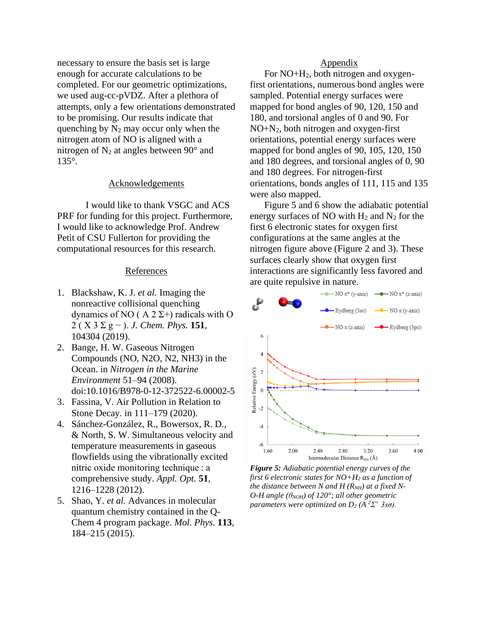necessary to ensure the basis set is large enough for accurate calculations to be completed. For our geometric optimizations, we used aug-cc-pVDZ. After a plethora of attempts, only a few orientations demonstrated to be promising. Our results indicate that quenching by  $N_2$  may occur only when the nitrogen atom of NO is aligned with a nitrogen of  $N_2$  at angles between 90 $^{\circ}$  and 135°.

# Acknowledgements

I would like to thank VSGC and ACS PRF for funding for this project. Furthermore, I would like to acknowledge Prof. Andrew Petit of CSU Fullerton for providing the computational resources for this research.

## References

- 1. Blackshaw, K. J. *et al.* Imaging the nonreactive collisional quenching dynamics of NO ( $A 2 \Sigma$ +) radicals with O 2 ( X 3 Σ g − ). *J. Chem. Phys.* **151**, 104304 (2019).
- 2. Bange, H. W. Gaseous Nitrogen Compounds (NO, N2O, N2, NH3) in the Ocean. in *Nitrogen in the Marine Environment* 51–94 (2008). doi:10.1016/B978-0-12-372522-6.00002-5
- 3. Fassina, V. Air Pollution in Relation to Stone Decay. in 111–179 (2020).
- 4. Sánchez-González, R., Bowersox, R. D., & North, S. W. Simultaneous velocity and temperature measurements in gaseous flowfields using the vibrationally excited nitric oxide monitoring technique : a comprehensive study. *Appl. Opt.* **51**, 1216–1228 (2012).
- 5. Shao, Y. *et al.* Advances in molecular quantum chemistry contained in the Q-Chem 4 program package. *Mol. Phys.* **113**, 184–215 (2015).

## **Appendix**

For NO+H2, both nitrogen and oxygenfirst orientations, numerous bond angles were sampled. Potential energy surfaces were mapped for bond angles of 90, 120, 150 and 180, and torsional angles of 0 and 90. For NO+N2, both nitrogen and oxygen-first orientations, potential energy surfaces were mapped for bond angles of 90, 105, 120, 150 and 180 degrees, and torsional angles of 0, 90 and 180 degrees. For nitrogen-first orientations, bonds angles of 111, 115 and 135 were also mapped.

Figure 5 and 6 show the adiabatic potential energy surfaces of NO with  $H_2$  and  $N_2$  for the first 6 electronic states for oxygen first configurations at the same angles at the nitrogen figure above (Figure 2 and 3). These surfaces clearly show that oxygen first interactions are significantly less favored and are quite repulsive in nature.



*Figure 5: Adiabatic potential energy curves of the first 6 electronic states for NO+H<sup>2</sup> as a function of the distance between N and H*  $(R_{NH})$  *at a fixed N-O-H* angle ( $θ_{NOH}$ ) of 120°; all other geometric *parameters were optimized on D<sup>2</sup> (A <sup>2</sup>Σ <sup>+</sup> 3sσ).*